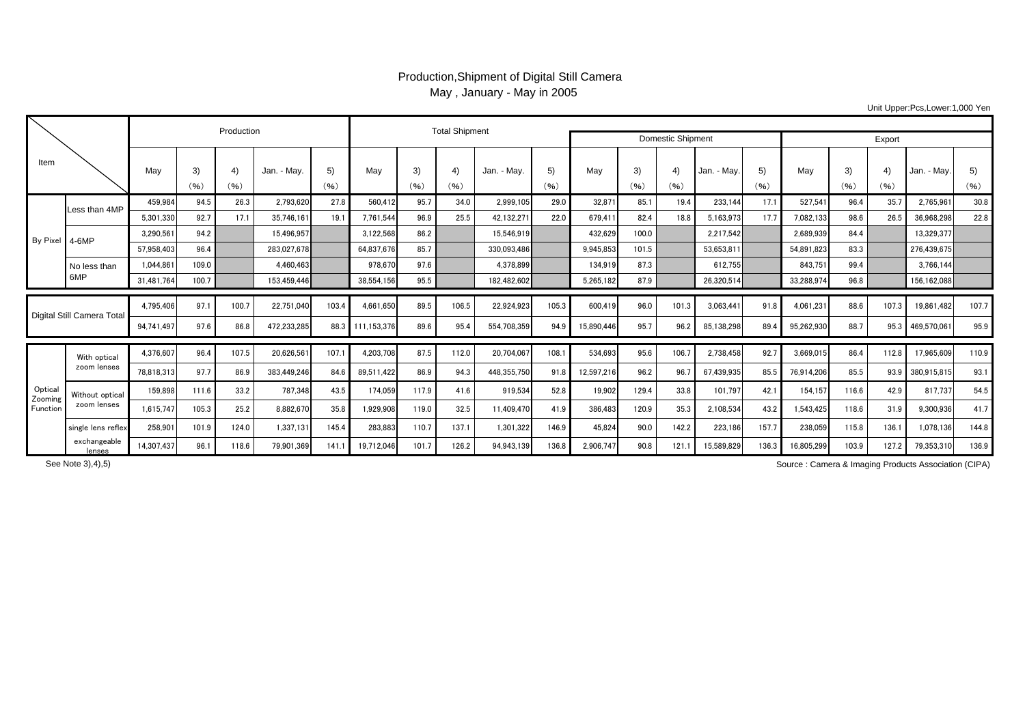## Production,Shipment of Digital Still Camera May , January - May in 2005

Unit Upper:Pcs,Lower:1,000 Yen

|                               |                                |            |            | Production |             |            |             | <b>Total Shipment</b> |            |                          |            |            |            |            |             |            |            |            |                        |             |            |
|-------------------------------|--------------------------------|------------|------------|------------|-------------|------------|-------------|-----------------------|------------|--------------------------|------------|------------|------------|------------|-------------|------------|------------|------------|------------------------|-------------|------------|
|                               |                                |            |            |            |             |            |             |                       |            | <b>Domestic Shipment</b> | Export     |            |            |            |             |            |            |            |                        |             |            |
| Item                          |                                | May        | 3)<br>(96) | 4)<br>(96) | Jan. - May. | 5)<br>(96) | May         | 3)<br>(96)            | 4)<br>(96) | Jan. - May.              | 5)<br>(96) | May        | 3)<br>(96) | 4)<br>(96) | Jan. - May. | 5)<br>(96) | May        | 3)<br>(96) | $\overline{4}$<br>(96) | Jan. - May. | 5)<br>(96) |
|                               |                                |            |            |            |             |            |             |                       |            |                          |            |            |            |            |             |            |            |            |                        |             |            |
| By Pixel                      | Less than 4MP                  | 459.984    | 94.5       | 26.3       | 2.793.620   | 27.8       | 560.412     | 95.7                  | 34.0       | 2.999.105                | 29.0       | 32.871     | 85.1       | 19.4       | 233.144     | 17.1       | 527.54     | 96.4       | 35.7                   | 2.765.961   | 30.8       |
|                               |                                | 5,301,330  | 92.7       | 17.1       | 35.746.161  | 19.1       | 7,761,544   | 96.9                  | 25.5       | 42,132,271               | 22.0       | 679.411    | 82.4       | 18.8       | 5,163,973   | 17.7       | 7,082,133  | 98.6       | 26.5                   | 36.968.298  | 22.8       |
|                               | $4-6MP$                        | 3,290,561  | 94.2       |            | 15.496.957  |            | 3,122,568   | 86.2                  |            | 15,546.919               |            | 432.629    | 100.0      |            | 2.217.542   |            | 2.689.939  | 84.4       |                        | 13,329,377  |            |
|                               |                                | 57.958.403 | 96.4       |            | 283.027.678 |            | 64.837.676  | 85.7                  |            | 330.093.486              |            | 9.945.853  | 101.5      |            | 53,653,811  |            | 54.891.823 | 83.3       |                        | 276,439,675 |            |
|                               | No less than<br>6MP            | 1,044,861  | 109.0      |            | 4.460.463   |            | 978,670     | 97.6                  |            | 4.378.899                |            | 134,919    | 87.3       |            | 612.755     |            | 843,75     | 99.4       |                        | 3.766.144   |            |
|                               |                                | 31.481.764 | 100.7      |            | 153.459.446 |            | 38.554.156  | 95.5                  |            | 182.482.602              |            | 5.265.182  | 87.9       |            | 26.320.514  |            | 33.288.974 | 96.8       |                        | 156.162.088 |            |
|                               |                                |            |            |            |             |            |             |                       |            |                          |            |            |            |            |             |            |            |            |                        |             |            |
| Digital Still Camera Total    |                                | 4,795,406  | 97.        | 100.7      | 22.751.040  | 103.4      | 4.661.650   | 89.5                  | 106.5      | 22,924,923               | 105.3      | 600,419    | 96.0       | 101.3      | 3,063,441   | 91.8       | 4.061.231  | 88.6       | 107.3                  | 19,861,482  | 107.7      |
|                               |                                | 94,741,497 | 97.6       | 86.8       | 472.233.285 | 88.3       | 111.153.376 | 89.6                  | 95.4       | 554.708.359              | 94.9       | 15.890.446 | 95.7       | 96.2       | 85,138,298  | 89.4       | 95.262.930 | 88.7       | 95.3                   | 469,570,061 | 95.9       |
| Optica<br>Zooming<br>Function | With optical<br>zoom lenses    | 4,376,607  | 96.4       | 107.5      | 20,626,561  | 107.1      | 4.203.708   | 87.5                  | 112.0      | 20.704.067               | 108.1      | 534.693    | 95.6       | 106.7      | 2,738,458   | 92.7       | 3,669,015  | 86.4       | 112.8                  | 17.965.609  | 110.9      |
|                               |                                | 78.818.313 | 97.7       | 86.9       | 383.449.246 | 84.6       | 89.511.422  | 86.9                  | 94.3       | 448.355.750              | 91.8       | 12.597.216 | 96.2       | 96.        | 67.439.935  | 85.5       | 76.914.206 | 85.5       | 93.9                   | 380,915,815 | 93.1       |
|                               | Without optical<br>zoom lenses | 159,898    | 111.6      | 33.2       | 787.348     | 43.5       | 174,059     | 117.9                 | 41.6       | 919,534                  | 52.8       | 19,902     | 129.4      | 33.8       | 101,797     | 42.1       | 154.157    | 116.6      | 42.9                   | 817.737     | 54.5       |
|                               |                                | 1,615,747  | 105.3      | 25.2       | 8,882,670   | 35.8       | 1,929,908   | 119.0                 | 32.5       | 11,409,470               | 41.9       | 386.483    | 120.9      | 35.3       | 2,108,534   | 43.2       | 1,543,425  | 118.6      | 31.9                   | 9,300,936   | 41.7       |
|                               | single lens reflex             | 258,901    | 101.9      | 124.0      | 1,337,131   | 145.4      | 283,883     | 110.7                 | 137.1      | 1,301,322                | 146.9      | 45.824     | 90.0       | 142.2      | 223,186     | 157.7      | 238,059    | 115.8      | 136.1                  | 1.078.136   | 144.8      |
|                               | exchangeable<br>lenses         | 14,307,437 | 96.        | 118.6      | 79,901,369  | 141.1      | 19,712,046  | 101.7                 | 126.2      | 94,943,139               | 136.8      | 2,906,747  | 90.8       | 121        | 15,589,829  | 136.3      | 16,805,299 | 103.9      | 127.2                  | 79,353,310  | 136.9      |

See Note 3),4),5)

Source : Camera & Imaging Products Association (CIPA)